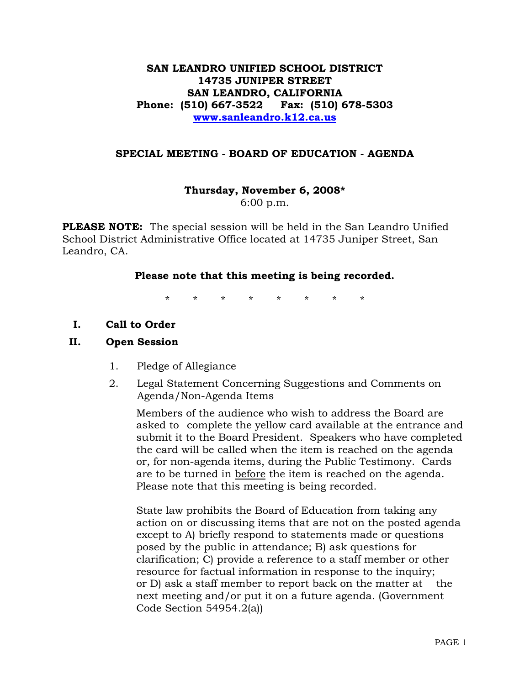# **SAN LEANDRO UNIFIED SCHOOL DISTRICT 14735 JUNIPER STREET SAN LEANDRO, CALIFORNIA Phone: (510) 667-3522 Fax: (510) 678-5303 www.sanleandro.k12.ca.us**

### **SPECIAL MEETING - BOARD OF EDUCATION - AGENDA**

# **Thursday, November 6, 2008\***

6:00 p.m.

**PLEASE NOTE:** The special session will be held in the San Leandro Unified School District Administrative Office located at 14735 Juniper Street, San Leandro, CA.

#### **Please note that this meeting is being recorded.**

\* \* \* \* \* \* \* \*

**I. Call to Order** 

#### **II. Open Session**

- 1. Pledge of Allegiance
- 2. Legal Statement Concerning Suggestions and Comments on Agenda/Non-Agenda Items

 Members of the audience who wish to address the Board are asked to complete the yellow card available at the entrance and submit it to the Board President. Speakers who have completed the card will be called when the item is reached on the agenda or, for non-agenda items, during the Public Testimony. Cards are to be turned in before the item is reached on the agenda. Please note that this meeting is being recorded.

 State law prohibits the Board of Education from taking any action on or discussing items that are not on the posted agenda except to A) briefly respond to statements made or questions posed by the public in attendance; B) ask questions for clarification; C) provide a reference to a staff member or other resource for factual information in response to the inquiry; or D) ask a staff member to report back on the matter at the next meeting and/or put it on a future agenda. (Government Code Section 54954.2(a))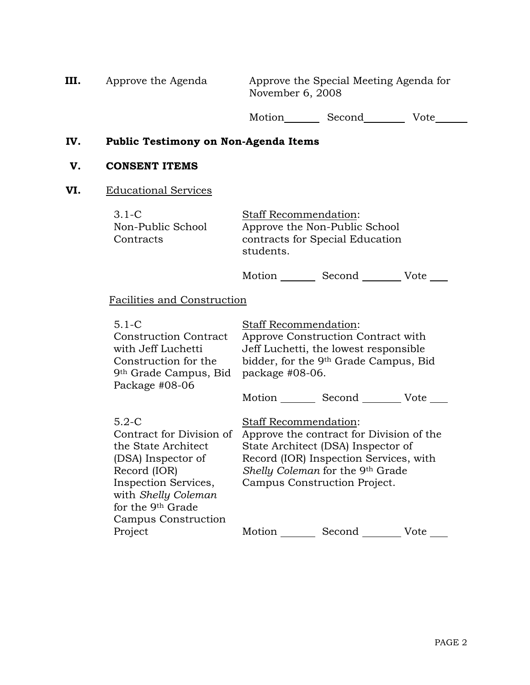| Approve the Agenda                                                                                                                                                   | Approve the Special Meeting Agenda for<br>November 6, 2008                                                                                                                                                            |
|----------------------------------------------------------------------------------------------------------------------------------------------------------------------|-----------------------------------------------------------------------------------------------------------------------------------------------------------------------------------------------------------------------|
|                                                                                                                                                                      | Motion Second<br>Vote                                                                                                                                                                                                 |
|                                                                                                                                                                      | Public Testimony on Non-Agenda Items                                                                                                                                                                                  |
| <b>CONSENT ITEMS</b>                                                                                                                                                 |                                                                                                                                                                                                                       |
| <b>Educational Services</b>                                                                                                                                          |                                                                                                                                                                                                                       |
| $3.1-C$<br>Non-Public School<br>Contracts                                                                                                                            | Staff Recommendation:<br>Approve the Non-Public School<br>contracts for Special Education<br>students.                                                                                                                |
|                                                                                                                                                                      | Motion Second Vote                                                                                                                                                                                                    |
| Facilities and Construction                                                                                                                                          |                                                                                                                                                                                                                       |
| $5.1 - C$<br><b>Construction Contract</b><br>with Jeff Luchetti<br>Construction for the<br>9th Grade Campus, Bid<br>Package #08-06                                   | <b>Staff Recommendation:</b><br>Approve Construction Contract with<br>Jeff Luchetti, the lowest responsible<br>bidder, for the 9 <sup>th</sup> Grade Campus, Bid<br>package #08-06.                                   |
|                                                                                                                                                                      | Motion Second Vote                                                                                                                                                                                                    |
| $5.2-C$<br>Contract for Division of<br>the State Architect<br>(DSA) Inspector of<br>Record (IOR)<br>Inspection Services,<br>with Shelly Coleman<br>for the 9th Grade | Staff Recommendation:<br>Approve the contract for Division of the<br>State Architect (DSA) Inspector of<br>Record (IOR) Inspection Services, with<br>Shelly Coleman for the 9th Grade<br>Campus Construction Project. |

Campus Construction

Project

Motion Second Vote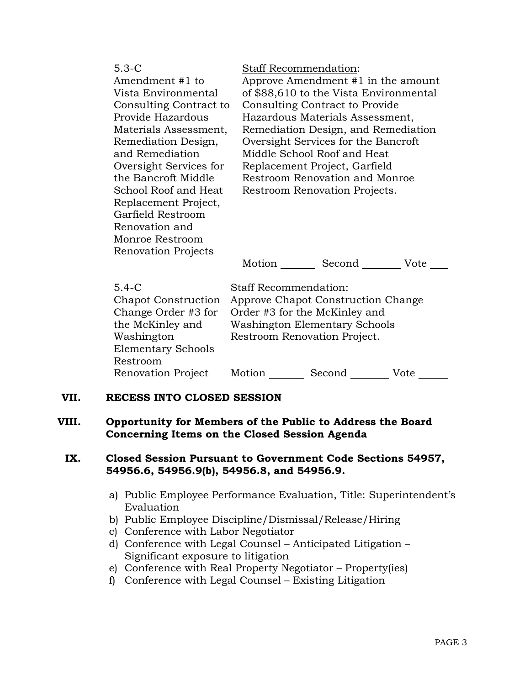| $5.3 - C$<br>Amendment #1 to<br>Vista Environmental<br>Consulting Contract to<br>Provide Hazardous<br>Materials Assessment,<br>Remediation Design,<br>and Remediation<br>Oversight Services for<br>the Bancroft Middle<br>School Roof and Heat<br>Replacement Project,<br>Garfield Restroom<br>Renovation and<br>Monroe Restroom<br><b>Renovation Projects</b> | <b>Staff Recommendation:</b><br>Approve Amendment #1 in the amount<br>of \$88,610 to the Vista Environmental<br>Consulting Contract to Provide<br>Hazardous Materials Assessment,<br>Remediation Design, and Remediation<br>Oversight Services for the Bancroft<br>Middle School Roof and Heat<br>Replacement Project, Garfield<br>Restroom Renovation and Monroe<br>Restroom Renovation Projects.<br>Motion<br>Second<br>Vote |
|----------------------------------------------------------------------------------------------------------------------------------------------------------------------------------------------------------------------------------------------------------------------------------------------------------------------------------------------------------------|--------------------------------------------------------------------------------------------------------------------------------------------------------------------------------------------------------------------------------------------------------------------------------------------------------------------------------------------------------------------------------------------------------------------------------|
| $5.4 - C$                                                                                                                                                                                                                                                                                                                                                      | Staff Recommendation:                                                                                                                                                                                                                                                                                                                                                                                                          |
| Chapot Construction                                                                                                                                                                                                                                                                                                                                            | Approve Chapot Construction Change                                                                                                                                                                                                                                                                                                                                                                                             |

Change Order #3 for the McKinley and Washington Elementary Schools Restroom Renovation

Order #3 for the McKinley and Washington Elementary Schools Restroom Renovation Project.

| n Project | Motion | Second | Vote |
|-----------|--------|--------|------|
|-----------|--------|--------|------|

# **VII. RECESS INTO CLOSED SESSION**

# **VIII. Opportunity for Members of the Public to Address the Board Concerning Items on the Closed Session Agenda**

### **IX. Closed Session Pursuant to Government Code Sections 54957, 54956.6, 54956.9(b), 54956.8, and 54956.9.**

- a) Public Employee Performance Evaluation, Title: Superintendent's Evaluation
- b) Public Employee Discipline/Dismissal/Release/Hiring
- c) Conference with Labor Negotiator
- d) Conference with Legal Counsel Anticipated Litigation Significant exposure to litigation
- e) Conference with Real Property Negotiator Property(ies)
- f) Conference with Legal Counsel Existing Litigation